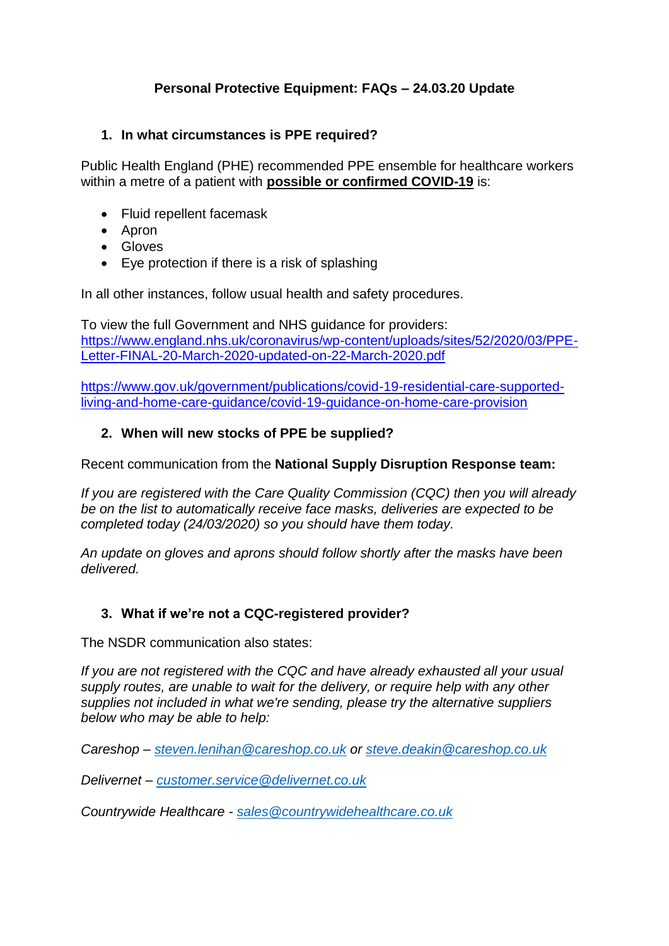# **Personal Protective Equipment: FAQs – 24.03.20 Update**

## **1. In what circumstances is PPE required?**

Public Health England (PHE) recommended PPE ensemble for healthcare workers within a metre of a patient with **possible or confirmed COVID-19** is:

- Fluid repellent facemask
- Apron
- Gloves
- Eye protection if there is a risk of splashing

In all other instances, follow usual health and safety procedures.

To view the full Government and NHS guidance for providers: [https://www.england.nhs.uk/coronavirus/wp-content/uploads/sites/52/2020/03/PPE-](https://www.england.nhs.uk/coronavirus/wp-content/uploads/sites/52/2020/03/PPE-Letter-FINAL-20-March-2020-updated-on-22-March-2020.pdf)[Letter-FINAL-20-March-2020-updated-on-22-March-2020.pdf](https://www.england.nhs.uk/coronavirus/wp-content/uploads/sites/52/2020/03/PPE-Letter-FINAL-20-March-2020-updated-on-22-March-2020.pdf)

[https://www.gov.uk/government/publications/covid-19-residential-care-supported](https://www.gov.uk/government/publications/covid-19-residential-care-supported-living-and-home-care-guidance/covid-19-guidance-on-home-care-provision)[living-and-home-care-guidance/covid-19-guidance-on-home-care-provision](https://www.gov.uk/government/publications/covid-19-residential-care-supported-living-and-home-care-guidance/covid-19-guidance-on-home-care-provision)

# **2. When will new stocks of PPE be supplied?**

Recent communication from the **National Supply Disruption Response team:**

*If you are registered with the Care Quality Commission (CQC) then you will already be on the list to automatically receive face masks, deliveries are expected to be completed today (24/03/2020) so you should have them today.* 

*An update on gloves and aprons should follow shortly after the masks have been delivered.*

# **3. What if we're not a CQC-registered provider?**

The NSDR communication also states:

*If you are not registered with the CQC and have already exhausted all your usual supply routes, are unable to wait for the delivery, or require help with any other supplies not included in what we're sending, please try the alternative suppliers below who may be able to help:*

*Careshop – [steven.lenihan@careshop.co.uk](mailto:steven.lenihan@careshop.co.uk) or [steve.deakin@careshop.co.uk](mailto:steve.deakin@careshop.co.uk)*

*Delivernet – [customer.service@delivernet.co.uk](mailto:customer.service@delivernet.co.uk)*

*Countrywide Healthcare - [sales@countrywidehealthcare.co.uk](mailto:sales@countrywidehealthcare.co.uk)*